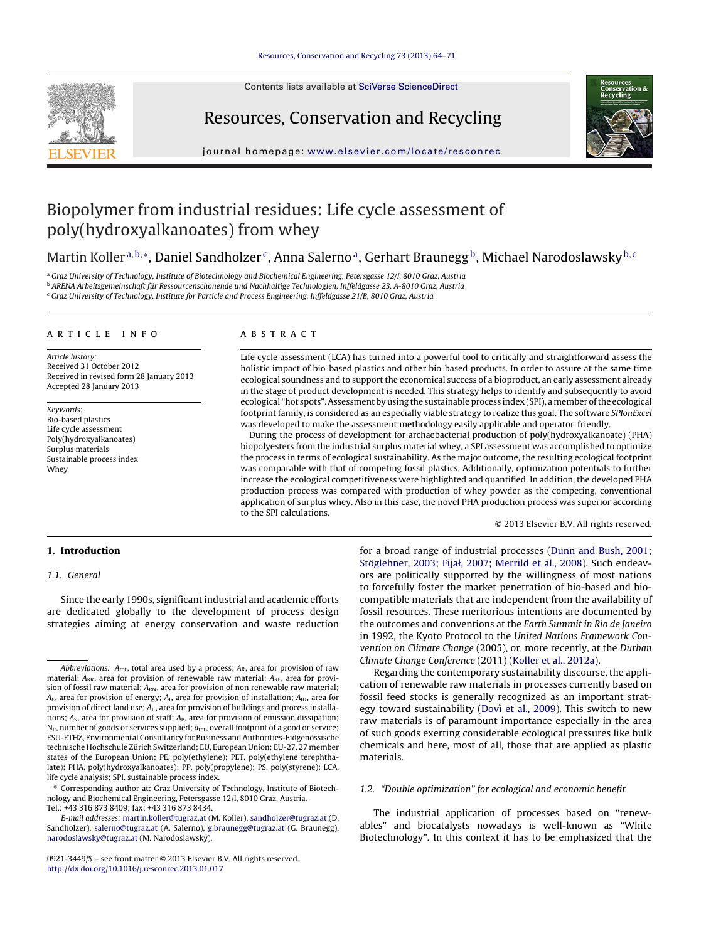Contents lists available at SciVerse [ScienceDirect](http://www.sciencedirect.com/science/journal/09213449)



Resources, Conservation and Recycling



journal hom epage: [www.elsevier.com/locate/resconrec](http://www.elsevier.com/locate/resconrec)

# Biopolymer from industrial residues: Life cycle assessment of poly(hydroxyalkanoates) from whey

# Martin Koller<sup>a,b,∗</sup>, Daniel Sandholzer<sup>c</sup>, Anna Salerno<sup>a</sup>, Gerhart Braunegg<sup>b</sup>, Michael Narodoslawsky<sup>b,c</sup>

a Graz University of Technology, Institute of Biotechnology and Biochemical Engineering, Petersgasse 12/I, 8010 Graz, Austria <sup>b</sup> ARENA Arbeitsgemeinschaft für Ressourcenschonende und Nachhaltige Technologien, Inffeldgasse 23, A-8010 Graz, Austria <sup>c</sup> Graz University of Technology, Institute for Particle and Process Engineering, Inffeldgasse 21/B, 8010 Graz, Austria

# a r t i c l e i n f o

Article history: Received 31 October 2012 Received in revised form 28 January 2013 Accepted 28 January 2013

Keywords: Bio-based plastics Life cycle assessment Poly(hydroxyalkanoates) Surplus materials Sustainable process index Whey

# A B S T R A C T

Life cycle assessment (LCA) has turned into a powerful tool to critically and straightforward assess the holistic impact of bio-based plastics and other bio-based products. In order to assure at the same time ecological soundness and to support the economical success of a bioproduct, an early assessment already in the stage of product development is needed. This strategy helps to identify and subsequently to avoid ecological "hot spots".Assessment by using the sustainable process index (SPI), amember ofthe ecological footprint family, is considered as an especially viable strategy to realize this goal. The software SPIonExcel was developed to make the assessment methodology easily applicable and operator-friendly.

During the process of development for archaebacterial production of poly(hydroxyalkanoate) (PHA) biopolyesters from the industrial surplus material whey, a SPI assessment was accomplished to optimize the process in terms of ecological sustainability. As the major outcome, the resulting ecological footprint was comparable with that of competing fossil plastics. Additionally, optimization potentials to further increase the ecological competitiveness were highlighted and quantified. In addition, the developed PHA production process was compared with production of whey powder as the competing, conventional application of surplus whey. Also in this case, the novel PHA production process was superior according to the SPI calculations.

© 2013 Elsevier B.V. All rights reserved.

# **1. Introduction**

# 1.1. General

Since the early 1990s, significantindustrial and academic efforts are dedicated globally to the development of process design strategies aiming at energy conservation and waste reduction

0921-3449/\$ – see front matter © 2013 Elsevier B.V. All rights reserved. [http://dx.doi.org/10.1016/j.resconrec.2013.01.017](dx.doi.org/10.1016/j.resconrec.2013.01.017)

for a broad range of industrial processes ([Dunn](#page-6-0) [and](#page-6-0) [Bush,](#page-6-0) [2001;](#page-6-0) [Stöglehner,](#page-6-0) [2003;](#page-6-0) [Fijał,](#page-6-0) [2007;](#page-6-0) [Merrild](#page-6-0) et [al.,](#page-6-0) [2008\).](#page-6-0) Such endeavors are politically supported by the willingness of most nations to forcefully foster the market penetration of bio-based and biocompatible materials that are independent from the availability of fossil resources. These meritorious intentions are documented by the outcomes and conventions at the Earth Summit in Rio de Janeiro in 1992, the Kyoto Protocol to the United Nations Framework Convention on Climate Change (2005), or, more recently, at the Durban Climate Change Conference (2011) [\(Koller](#page-6-0) et [al.,](#page-6-0) [2012a\).](#page-6-0)

Regarding the contemporary sustainability discourse, the application of renewable raw materials in processes currently based on fossil feed stocks is generally recognized as an important strategy toward sustainability [\(Dovì](#page-6-0) et [al.,](#page-6-0) [2009\).](#page-6-0) This switch to new raw materials is of paramount importance especially in the area of such goods exerting considerable ecological pressures like bulk chemicals and here, most of all, those that are applied as plastic materials.

# 1.2. "Double optimization" for ecological and economic benefit

The industrial application of processes based on "renewables" and biocatalysts nowadays is well-known as "White Biotechnology". In this context it has to be emphasized that the

Abbreviations:  $A_{\text{tot}}$ , total area used by a process;  $A_{\text{R}}$ , area for provision of raw material;  $A_{RR}$ , area for provision of renewable raw material;  $A_{RF}$ , area for provision of fossil raw material;  $A_{RN}$ , area for provision of non renewable raw material;  $A_E$ , area for provision of energy;  $A_I$ , area for provision of installation;  $A_{ID}$ , area for provision of direct land use;  $A_{II}$ , area for provision of buildings and process installations;  $A_S$ , area for provision of staff;  $A_P$ , area for provision of emission dissipation;  $N_P$ , number of goods or services supplied;  $a_{\text{tot}}$ , overall footprint of a good or service; ESU-ETHZ, Environmental Consultancy for Business and Authorities-Eidgenössische technische Hochschule Zürich Switzerland; EU, European Union; EU-27, 27 member states of the European Union; PE, poly(ethylene); PET, poly(ethylene terephthalate); PHA, poly(hydroxyalkanoates); PP, poly(propylene); PS, poly(styrene); LCA, life cycle analysis; SPI, sustainable process index.

<sup>∗</sup> Corresponding author at: Graz University of Technology, Institute of Biotechnology and Biochemical Engineering, Petersgasse 12/I, 8010 Graz, Austria. Tel.: +43 316 873 8409; fax: +43 316 873 8434.

E-mail addresses: [martin.koller@tugraz.at](mailto:martin.koller@tugraz.at) (M. Koller), [sandholzer@tugraz.at](mailto:sandholzer@tugraz.at) (D. Sandholzer), [salerno@tugraz.at](mailto:salerno@tugraz.at) (A. Salerno), [g.braunegg@tugraz.at](mailto:g.braunegg@tugraz.at) (G. Braunegg), [narodoslawsky@tugraz.at](mailto:narodoslawsky@tugraz.at) (M. Narodoslawsky).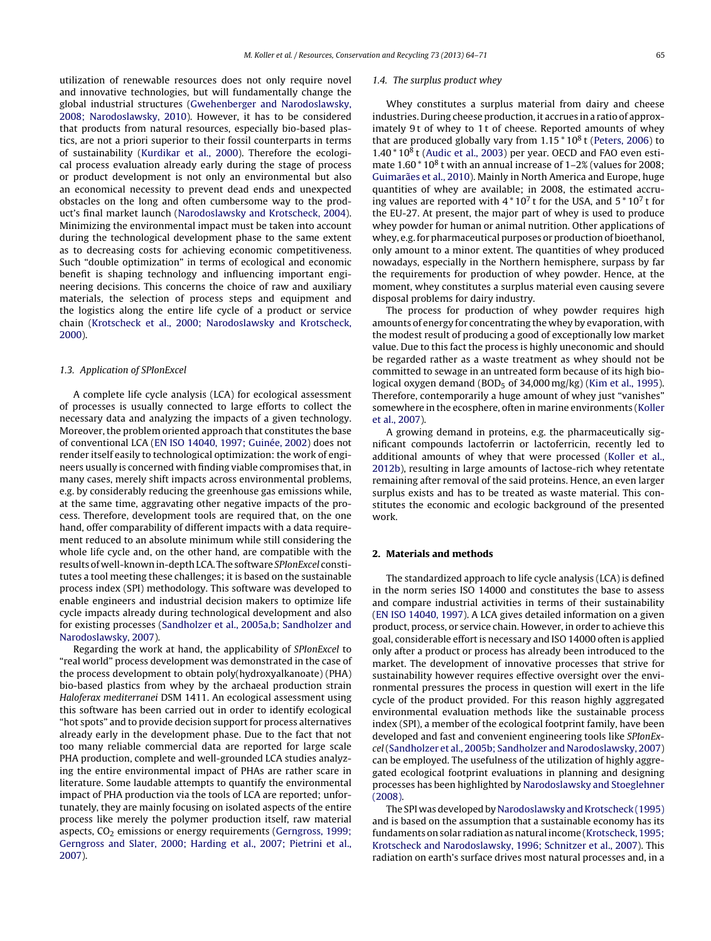utilization of renewable resources does not only require novel and innovative technologies, but will fundamentally change the global industrial structures ([Gwehenberger](#page-6-0) [and](#page-6-0) [Narodoslawsky,](#page-6-0) [2008;](#page-6-0) [Narodoslawsky,](#page-6-0) [2010\).](#page-6-0) However, it has to be considered that products from natural resources, especially bio-based plastics, are not a priori superior to their fossil counterparts in terms of sustainability [\(Kurdikar](#page-7-0) et [al.,](#page-7-0) [2000\).](#page-7-0) Therefore the ecological process evaluation already early during the stage of process or product development is not only an environmental but also an economical necessity to prevent dead ends and unexpected obstacles on the long and often cumbersome way to the product's final market launch ([Narodoslawsky](#page-7-0) [and](#page-7-0) [Krotscheck,](#page-7-0) [2004\).](#page-7-0) Minimizing the environmental impact must be taken into account during the technological development phase to the same extent as to decreasing costs for achieving economic competitiveness. Such "double optimization" in terms of ecological and economic benefit is shaping technology and influencing important engineering decisions. This concerns the choice of raw and auxiliary materials, the selection of process steps and equipment and the logistics along the entire life cycle of a product or service chain ([Krotscheck](#page-7-0) et [al.,](#page-7-0) [2000;](#page-7-0) [Narodoslawsky](#page-7-0) [and](#page-7-0) [Krotscheck,](#page-7-0) [2000\).](#page-7-0)

### 1.3. Application of SPIonExcel

A complete life cycle analysis (LCA) for ecological assessment of processes is usually connected to large efforts to collect the necessary data and analyzing the impacts of a given technology. Moreover, the problem oriented approach that constitutes the base of conventional LCA ([EN](#page-6-0) [ISO](#page-6-0) [14040,](#page-6-0) [1997;](#page-6-0) [Guinée,](#page-6-0) [2002\)](#page-6-0) does not render itself easily to technological optimization: the work of engineers usually is concerned with finding viable compromises that, in many cases, merely shift impacts across environmental problems, e.g. by considerably reducing the greenhouse gas emissions while, at the same time, aggravating other negative impacts of the process. Therefore, development tools are required that, on the one hand, offer comparability of different impacts with a data requirement reduced to an absolute minimum while still considering the whole life cycle and, on the other hand, are compatible with the results of well-known in-depth LCA. The software SPIonExcel constitutes a tool meeting these challenges; it is based on the sustainable process index (SPI) methodology. This software was developed to enable engineers and industrial decision makers to optimize life cycle impacts already during technological development and also for existing processes [\(Sandholzer](#page-7-0) et [al.,](#page-7-0) [2005a,b;](#page-7-0) [Sandholzer](#page-7-0) [and](#page-7-0) [Narodoslawsky,](#page-7-0) [2007\).](#page-7-0)

Regarding the work at hand, the applicability of SPIonExcel to "real world" process development was demonstrated in the case of the process development to obtain poly(hydroxyalkanoate) (PHA) bio-based plastics from whey by the archaeal production strain Haloferax mediterranei DSM 1411. An ecological assessment using this software has been carried out in order to identify ecological "hot spots" and to provide decision support for process alternatives already early in the development phase. Due to the fact that not too many reliable commercial data are reported for large scale PHA production, complete and well-grounded LCA studies analyzing the entire environmental impact of PHAs are rather scare in literature. Some laudable attempts to quantify the environmental impact of PHA production via the tools of LCA are reported; unfortunately, they are mainly focusing on isolated aspects of the entire process like merely the polymer production itself, raw material aspects,  $CO<sub>2</sub>$  emissions or energy requirements [\(Gerngross,](#page-6-0) [1999;](#page-6-0) [Gerngross](#page-6-0) [and](#page-6-0) [Slater,](#page-6-0) [2000;](#page-6-0) [Harding](#page-6-0) et [al.,](#page-6-0) [2007;](#page-6-0) [Pietrini](#page-6-0) et [al.,](#page-6-0) [2007\).](#page-6-0)

### 1.4. The surplus product whey

Whey constitutes a surplus material from dairy and cheese industries. During cheese production, it accrues in a ratio of approximately 9t of whey to 1t of cheese. Reported amounts of whey that are produced globally vary from  $1.15 * 10<sup>8</sup>$  t [\(Peters,](#page-7-0) [2006\)](#page-7-0) to  $1.40 * 10<sup>8</sup>$  t [\(Audic](#page-6-0) et [al.,](#page-6-0) [2003\)](#page-6-0) per year. OECD and FAO even estimate  $1.60*10<sup>8</sup>$  t with an annual increase of  $1-2%$  (values for 2008; [Guimarães](#page-6-0) et [al.,](#page-6-0) [2010\).](#page-6-0) Mainly in North America and Europe, huge quantities of whey are available; in 2008, the estimated accruing values are reported with  $4*10^7$  t for the USA, and  $5*10^7$  t for the EU-27. At present, the major part of whey is used to produce whey powder for human or animal nutrition. Other applications of whey, e.g.for pharmaceutical purposes or production of bioethanol, only amount to a minor extent. The quantities of whey produced nowadays, especially in the Northern hemisphere, surpass by far the requirements for production of whey powder. Hence, at the moment, whey constitutes a surplus material even causing severe disposal problems for dairy industry.

The process for production of whey powder requires high amounts of energy for concentrating the whey by evaporation, with the modest result of producing a good of exceptionally low market value. Due to this fact the process is highly uneconomic and should be regarded rather as a waste treatment as whey should not be committed to sewage in an untreated form because of its high biological oxygen demand (BOD $_5$  of 34,000 mg/kg) ([Kim](#page-6-0) et [al.,](#page-6-0) [1995\).](#page-6-0) Therefore, contemporarily a huge amount of whey just "vanishes" somewhere in the ecosphere, often in marine environments ([Koller](#page-6-0) et [al.,](#page-6-0) [2007\).](#page-6-0)

A growing demand in proteins, e.g. the pharmaceutically significant compounds lactoferrin or lactoferricin, recently led to additional amounts of whey that were processed [\(Koller](#page-6-0) et [al.,](#page-6-0) [2012b\),](#page-6-0) resulting in large amounts of lactose-rich whey retentate remaining after removal of the said proteins. Hence, an even larger surplus exists and has to be treated as waste material. This constitutes the economic and ecologic background of the presented work.

# **2. Materials and methods**

The standardized approach to life cycle analysis (LCA) is defined in the norm series ISO 14000 and constitutes the base to assess and compare industrial activities in terms of their sustainability [\(EN](#page-6-0) [ISO](#page-6-0) [14040,](#page-6-0) [1997\).](#page-6-0) A LCA gives detailed information on a given product, process, or service chain. However, in order to achieve this goal, considerable effortis necessary and ISO 14000 often is applied only after a product or process has already been introduced to the market. The development of innovative processes that strive for sustainability however requires effective oversight over the environmental pressures the process in question will exert in the life cycle of the product provided. For this reason highly aggregated environmental evaluation methods like the sustainable process index (SPI), a member of the ecological footprint family, have been developed and fast and convenient engineering tools like SPIonExcel([Sandholzer](#page-7-0) et [al.,](#page-7-0) [2005b;](#page-7-0) [Sandholzer](#page-7-0) [and](#page-7-0) [Narodoslawsky,](#page-7-0) [2007\)](#page-7-0) can be employed. The usefulness of the utilization of highly aggregated ecological footprint evaluations in planning and designing processes has been highlighted by [Narodoslawsky](#page-7-0) [and](#page-7-0) [Stoeglehner](#page-7-0) [\(2008\).](#page-7-0)

The SPI was developed by [Narodoslawsky](#page-7-0) and Krotscheck [\(1995\)](#page-7-0) and is based on the assumption that a sustainable economy has its fundaments on solar radiation as natural income [\(Krotscheck,](#page-6-0) [1995;](#page-6-0) [Krotscheck](#page-6-0) [and](#page-6-0) [Narodoslawsky,](#page-6-0) [1996;](#page-6-0) [Schnitzer](#page-6-0) et [al.,](#page-6-0) [2007\).](#page-6-0) This radiation on earth's surface drives most natural processes and, in a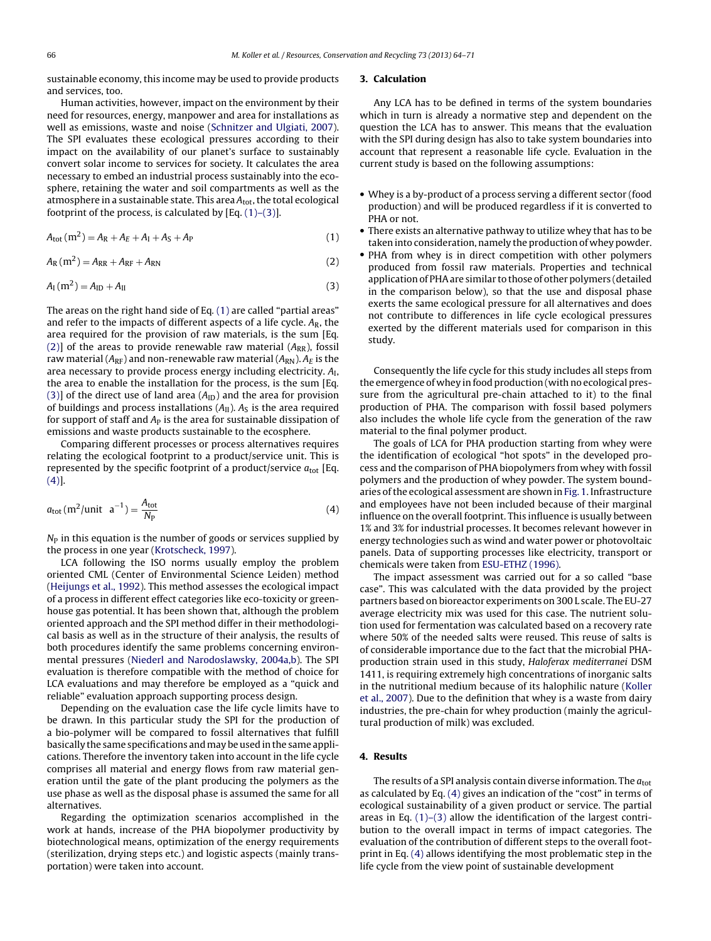sustainable economy, this income may be used to provide products and services, too.

Human activities, however, impact on the environment by their need for resources, energy, manpower and area for installations as well as emissions, waste and noise [\(Schnitzer](#page-7-0) [and](#page-7-0) [Ulgiati,](#page-7-0) [2007\).](#page-7-0) The SPI evaluates these ecological pressures according to their impact on the availability of our planet's surface to sustainably convert solar income to services for society. It calculates the area necessary to embed an industrial process sustainably into the ecosphere, retaining the water and soil compartments as well as the atmosphere in a sustainable state. This area  $A_{\text{tot}}$ , the total ecological footprint of the process, is calculated by  $[Eq. (1)–(3)].$ 

$$
A_{\text{tot}}(m^2) = A_R + A_E + A_I + A_S + A_P \tag{1}
$$

$$
A_{\rm R} \left( \text{m}^2 \right) = A_{\rm RR} + A_{\rm RF} + A_{\rm RN} \tag{2}
$$

$$
A_{\rm I}(m^2) = A_{\rm ID} + A_{\rm II}
$$
\n<sup>(3)</sup>

The areas on the right hand side of Eq. (1) are called "partial areas" and refer to the impacts of different aspects of a life cycle.  $A_R$ , the area required for the provision of raw materials, is the sum [Eq. (2)] of the areas to provide renewable raw material  $(A_{RR})$ , fossil raw material ( $A_{RF}$ ) and non-renewable raw material ( $A_{RN}$ ).  $A_F$  is the area necessary to provide process energy including electricity.  $A_I$ , the area to enable the installation for the process, is the sum [Eq. (3)] of the direct use of land area  $(A_{ID})$  and the area for provision of buildings and process installations  $(A_{II})$ .  $A_S$  is the area required for support of staff and  $A<sub>P</sub>$  is the area for sustainable dissipation of emissions and waste products sustainable to the ecosphere.

Comparing different processes or process alternatives requires relating the ecological footprint to a product/service unit. This is represented by the specific footprint of a product/service  $a_{\text{tot}}$  [Eq. (4)].

$$
a_{\text{tot}} \left( \text{m}^2 / \text{unit} \quad \text{a}^{-1} \right) = \frac{A_{\text{tot}}}{N_P} \tag{4}
$$

 $N_{\rm P}$  in this equation is the number of goods or services supplied by the process in one year ([Krotscheck,](#page-6-0) [1997\).](#page-6-0)

LCA following the ISO norms usually employ the problem oriented CML (Center of Environmental Science Leiden) method ([Heijungs](#page-6-0) et [al.,](#page-6-0) [1992\).](#page-6-0) This method assesses the ecological impact of a process in different effect categories like eco-toxicity or greenhouse gas potential. It has been shown that, although the problem oriented approach and the SPI method differ in their methodological basis as well as in the structure of their analysis, the results of both procedures identify the same problems concerning environmental pressures ([Niederl](#page-7-0) [and](#page-7-0) [Narodoslawsky,](#page-7-0) [2004a,b\).](#page-7-0) The SPI evaluation is therefore compatible with the method of choice for LCA evaluations and may therefore be employed as a "quick and reliable" evaluation approach supporting process design.

Depending on the evaluation case the life cycle limits have to be drawn. In this particular study the SPI for the production of a bio-polymer will be compared to fossil alternatives that fulfill basically the same specifications and may be used in the same applications. Therefore the inventory taken into account in the life cycle comprises all material and energy flows from raw material generation until the gate of the plant producing the polymers as the use phase as well as the disposal phase is assumed the same for all alternatives.

Regarding the optimization scenarios accomplished in the work at hands, increase of the PHA biopolymer productivity by biotechnological means, optimization of the energy requirements (sterilization, drying steps etc.) and logistic aspects (mainly transportation) were taken into account.

#### **3. Calculation**

Any LCA has to be defined in terms of the system boundaries which in turn is already a normative step and dependent on the question the LCA has to answer. This means that the evaluation with the SPI during design has also to take system boundaries into account that represent a reasonable life cycle. Evaluation in the current study is based on the following assumptions:

- Whey is a by-product of a process serving a different sector (food production) and will be produced regardless if it is converted to PHA or not.
- There exists an alternative pathway to utilize whey that has to be taken into consideration, namely the production of whey powder.
- PHA from whey is in direct competition with other polymers produced from fossil raw materials. Properties and technical application of PHAare similar to those of other polymers (detailed in the comparison below), so that the use and disposal phase exerts the same ecological pressure for all alternatives and does not contribute to differences in life cycle ecological pressures exerted by the different materials used for comparison in this study.

Consequently the life cycle for this study includes all steps from the emergence of whey in food production (with no ecological pressure from the agricultural pre-chain attached to it) to the final production of PHA. The comparison with fossil based polymers also includes the whole life cycle from the generation of the raw material to the final polymer product.

The goals of LCA for PHA production starting from whey were the identification of ecological "hot spots" in the developed process and the comparison of PHA biopolymers from whey with fossil polymers and the production of whey powder. The system boundaries ofthe ecological assessment are shown in [Fig.](#page-3-0) 1. Infrastructure and employees have not been included because of their marginal influence on the overall footprint. This influence is usually between 1% and 3% for industrial processes. It becomes relevant however in energy technologies such as wind and water power or photovoltaic panels. Data of supporting processes like electricity, transport or chemicals were taken from [ESU-ETHZ](#page-6-0) [\(1996\).](#page-6-0)

The impact assessment was carried out for a so called "base case". This was calculated with the data provided by the project partners based on bioreactor experiments on 300 L scale. The EU-27 average electricity mix was used for this case. The nutrient solution used for fermentation was calculated based on a recovery rate where 50% of the needed salts were reused. This reuse of salts is of considerable importance due to the fact that the microbial PHAproduction strain used in this study, Haloferax mediterranei DSM 1411, is requiring extremely high concentrations of inorganic salts in the nutritional medium because of its halophilic nature [\(Koller](#page-6-0) et [al.,](#page-6-0) [2007\).](#page-6-0) Due to the definition that whey is a waste from dairy industries, the pre-chain for whey production (mainly the agricultural production of milk) was excluded.

# **4. Results**

The results of a SPI analysis contain diverse information. The  $a_{\text{tot}}$ as calculated by Eq. (4) gives an indication of the "cost" in terms of ecological sustainability of a given product or service. The partial areas in Eq. (1)–(3) allow the identification of the largest contribution to the overall impact in terms of impact categories. The evaluation of the contribution of different steps to the overall footprint in Eq. (4) allows identifying the most problematic step in the life cycle from the view point of sustainable development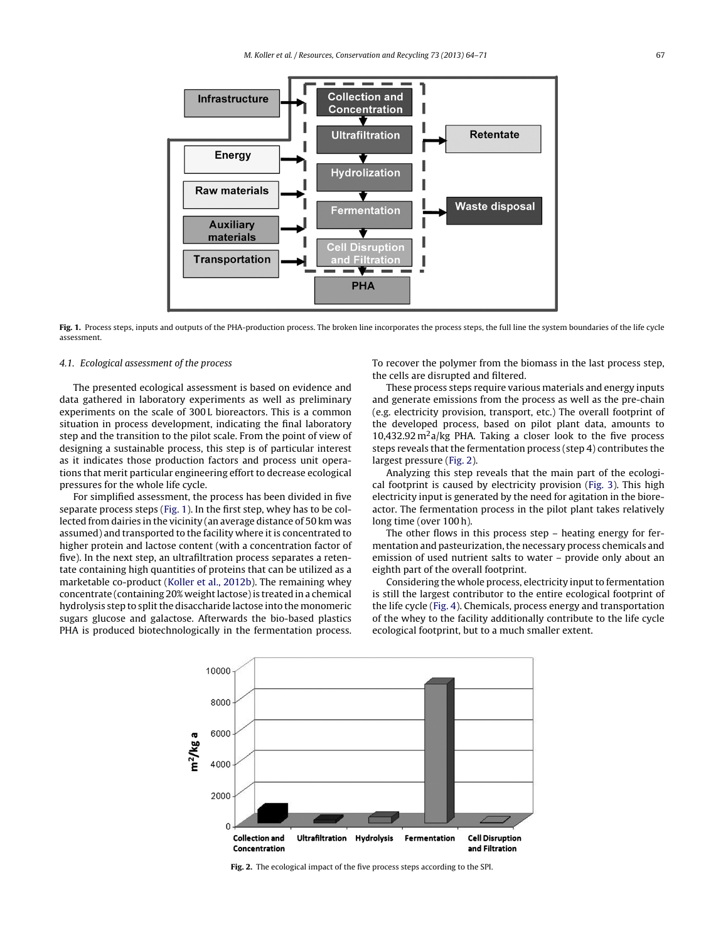<span id="page-3-0"></span>

**Fig. 1.** Process steps, inputs and outputs of the PHA-production process. The broken line incorporates the process steps, the full line the system boundaries of the life cycle assessment.

# 4.1. Ecological assessment of the process

The presented ecological assessment is based on evidence and data gathered in laboratory experiments as well as preliminary experiments on the scale of 300L bioreactors. This is a common situation in process development, indicating the final laboratory step and the transition to the pilot scale. From the point of view of designing a sustainable process, this step is of particular interest as it indicates those production factors and process unit operations that merit particular engineering effort to decrease ecological pressures for the whole life cycle.

For simplified assessment, the process has been divided in five separate process steps (Fig. 1). In the first step, whey has to be collected from dairies in the vicinity (an average distance of 50 km was assumed) and transported to the facility where it is concentrated to higher protein and lactose content (with a concentration factor of five). In the next step, an ultrafiltration process separates a retentate containing high quantities of proteins that can be utilized as a marketable co-product ([Koller](#page-6-0) et [al.,](#page-6-0) [2012b\).](#page-6-0) The remaining whey concentrate (containing 20% weight lactose) is treated in a chemical hydrolysis step to split the disaccharide lactose into the monomeric sugars glucose and galactose. Afterwards the bio-based plastics PHA is produced biotechnologically in the fermentation process.

To recover the polymer from the biomass in the last process step, the cells are disrupted and filtered.

These process steps require various materials and energy inputs and generate emissions from the process as well as the pre-chain (e.g. electricity provision, transport, etc.) The overall footprint of the developed process, based on pilot plant data, amounts to  $10,432.92 \,\mathrm{m}^2$ a/kg PHA. Taking a closer look to the five process steps reveals that the fermentation process (step 4) contributes the largest pressure (Fig. 2).

Analyzing this step reveals that the main part of the ecological footprint is caused by electricity provision [\(Fig.](#page-4-0) 3). This high electricity input is generated by the need for agitation in the bioreactor. The fermentation process in the pilot plant takes relatively long time (over 100 h).

The other flows in this process step – heating energy for fermentation and pasteurization, the necessary process chemicals and emission of used nutrient salts to water – provide only about an eighth part of the overall footprint.

Considering the whole process, electricity input to fermentation is still the largest contributor to the entire ecological footprint of the life cycle ([Fig.](#page-4-0) 4). Chemicals, process energy and transportation of the whey to the facility additionally contribute to the life cycle ecological footprint, but to a much smaller extent.



**Fig. 2.** The ecological impact of the five process steps according to the SPI.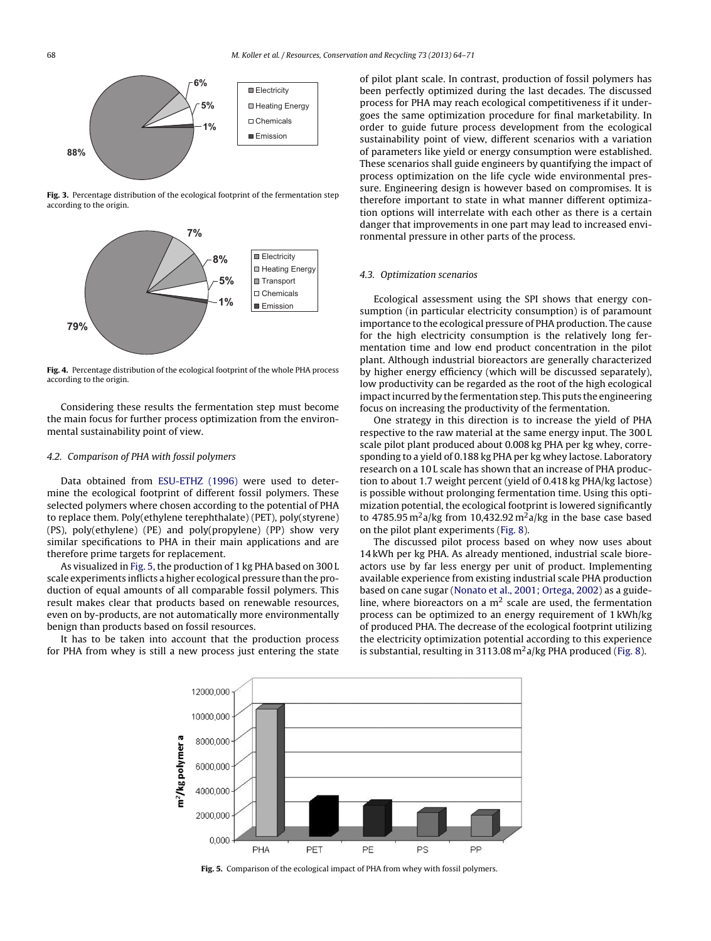<span id="page-4-0"></span>

**Fig. 3.** Percentage distribution of the ecological footprint of the fermentation step according to the origin.



**Fig. 4.** Percentage distribution of the ecological footprint of the whole PHA process according to the origin.

Considering these results the fermentation step must become the main focus for further process optimization from the environmental sustainability point of view.

#### 4.2. Comparison of PHA with fossil polymers

Data obtained from [ESU-ETHZ](#page-6-0) [\(1996\)](#page-6-0) were used to determine the ecological footprint of different fossil polymers. These selected polymers where chosen according to the potential of PHA to replace them. Poly(ethylene terephthalate) (PET), poly(styrene) (PS), poly(ethylene) (PE) and poly(propylene) (PP) show very similar specifications to PHA in their main applications and are therefore prime targets for replacement.

As visualized in Fig. 5, the production of 1 kg PHA based on 300 L scale experiments inflicts a higher ecological pressure than the production of equal amounts of all comparable fossil polymers. This result makes clear that products based on renewable resources, even on by-products, are not automatically more environmentally benign than products based on fossil resources.

It has to be taken into account that the production process for PHA from whey is still a new process just entering the state of pilot plant scale. In contrast, production of fossil polymers has been perfectly optimized during the last decades. The discussed process for PHA may reach ecological competitiveness if it undergoes the same optimization procedure for final marketability. In order to guide future process development from the ecological sustainability point of view, different scenarios with a variation of parameters like yield or energy consumption were established. These scenarios shall guide engineers by quantifying the impact of process optimization on the life cycle wide environmental pressure. Engineering design is however based on compromises. It is therefore important to state in what manner different optimization options will interrelate with each other as there is a certain danger that improvements in one part may lead to increased environmental pressure in other parts of the process.

#### 4.3. Optimization scenarios

Ecological assessment using the SPI shows that energy consumption (in particular electricity consumption) is of paramount importance to the ecological pressure of PHA production. The cause for the high electricity consumption is the relatively long fermentation time and low end product concentration in the pilot plant. Although industrial bioreactors are generally characterized by higher energy efficiency (which will be discussed separately), low productivity can be regarded as the root of the high ecological impact incurred by the fermentation step. This puts the engineering focus on increasing the productivity of the fermentation.

One strategy in this direction is to increase the yield of PHA respective to the raw material at the same energy input. The 300 L scale pilot plant produced about 0.008 kg PHA per kg whey, corresponding to a yield of 0.188 kg PHA per kg whey lactose. Laboratory research on a 10 L scale has shown that an increase of PHA production to about 1.7 weight percent (yield of 0.418 kg PHA/kg lactose) is possible without prolonging fermentation time. Using this optimization potential, the ecological footprint is lowered significantly to 4785.95 m<sup>2</sup>a/kg from 10,432.92 m<sup>2</sup>a/kg in the base case based on the pilot plant experiments ([Fig.](#page-5-0) 8).

The discussed pilot process based on whey now uses about 14 kWh per kg PHA. As already mentioned, industrial scale bioreactors use by far less energy per unit of product. Implementing available experience from existing industrial scale PHA production based on cane sugar ([Nonato](#page-7-0) et [al.,](#page-7-0) [2001;](#page-7-0) [Ortega,](#page-7-0) [2002\)](#page-7-0) as a guideline, where bioreactors on a  $m<sup>2</sup>$  scale are used, the fermentation process can be optimized to an energy requirement of 1 kWh/kg of produced PHA. The decrease of the ecological footprint utilizing the electricity optimization potential according to this experience is substantial, resulting in 3113.08  $m^2$ a/kg PHA produced [\(Fig.](#page-5-0) 8).



**Fig. 5.** Comparison of the ecological impact of PHA from whey with fossil polymers.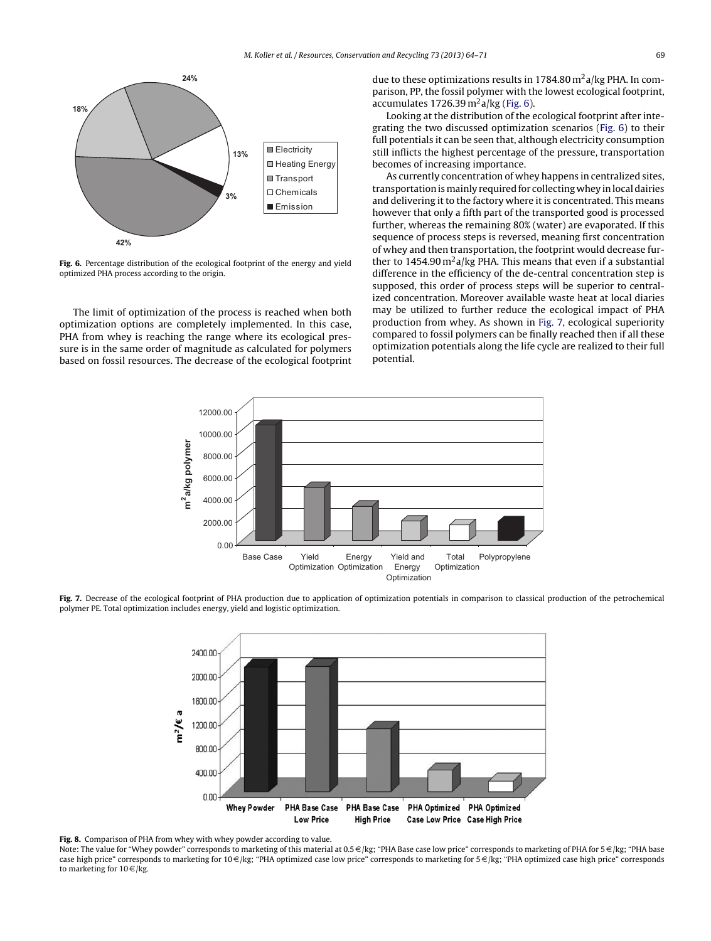<span id="page-5-0"></span>

**Fig. 6.** Percentage distribution of the ecological footprint of the energy and yield optimized PHA process according to the origin.

The limit of optimization of the process is reached when both optimization options are completely implemented. In this case, PHA from whey is reaching the range where its ecological pressure is in the same order of magnitude as calculated for polymers based on fossil resources. The decrease of the ecological footprint due to these optimizations results in  $1784.80 \,\mathrm{m}^2$  a/kg PHA. In comparison, PP, the fossil polymer with the lowest ecological footprint, accumulates  $1726.39 \text{ m}^2$  a/kg (Fig. 6).

Looking at the distribution of the ecological footprint after integrating the two discussed optimization scenarios (Fig. 6) to their full potentials it can be seen that, although electricity consumption still inflicts the highest percentage of the pressure, transportation becomes of increasing importance.

As currently concentration of whey happens in centralized sites, transportation is mainly required for collecting whey in local dairies and delivering it to the factory where it is concentrated. This means however that only a fifth part of the transported good is processed further, whereas the remaining 80% (water) are evaporated. If this sequence of process steps is reversed, meaning first concentration of whey and then transportation, the footprint would decrease further to  $1454.90 \,\mathrm{m}^2$  a/kg PHA. This means that even if a substantial difference in the efficiency of the de-central concentration step is supposed, this order of process steps will be superior to centralized concentration. Moreover available waste heat at local diaries may be utilized to further reduce the ecological impact of PHA production from whey. As shown in Fig. 7, ecological superiority compared to fossil polymers can be finally reached then if all these optimization potentials along the life cycle are realized to their full potential.



Fig. 7. Decrease of the ecological footprint of PHA production due to application of optimization potentials in comparison to classical production of the petrochemical polymer PE. Total optimization includes energy, yield and logistic optimization.



**Fig. 8.** Comparison of PHA from whey with whey powder according to value.

Note: The value for "Whey powder" corresponds to marketing of this material at  $0.5 \in /kg$ ; "PHA Base case low price" corresponds to marketing of PHA for  $5 \in /kg$ ; "PHA base case high price" corresponds to marketing for 10  $\in$ /kg; "PHA optimized case low price" corresponds to marketing for 5  $\in$ /kg; "PHA optimized case high price" corresponds to marketing for  $10 \in$ /kg.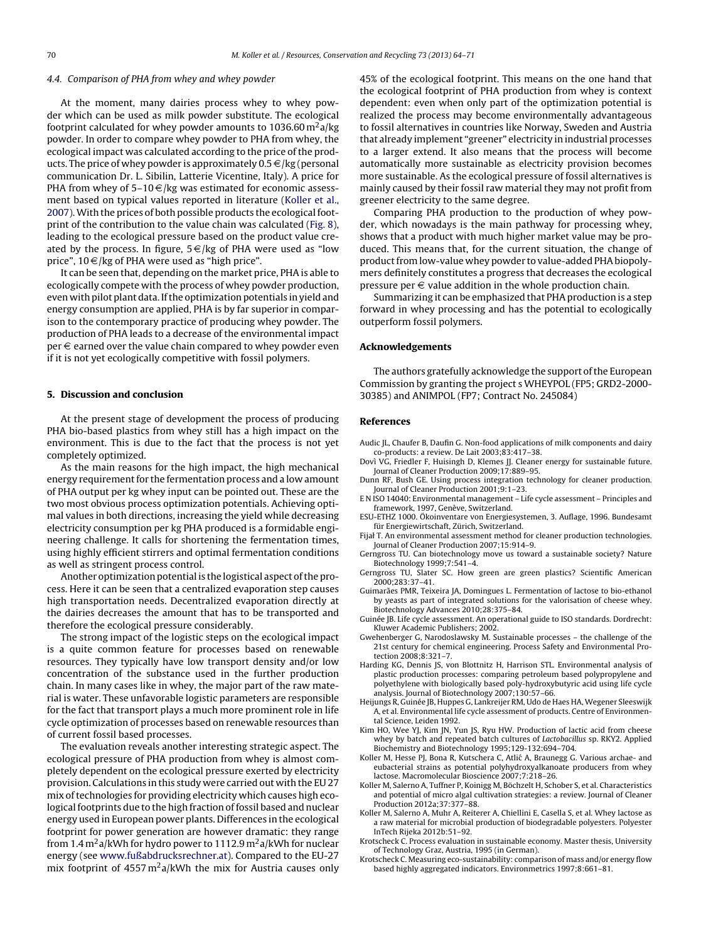# <span id="page-6-0"></span>4.4. Comparison of PHA from whey and whey powder

At the moment, many dairies process whey to whey powder which can be used as milk powder substitute. The ecological footprint calculated for whey powder amounts to 1036.60  $m^2 a/kg$ powder. In order to compare whey powder to PHA from whey, the ecological impact was calculated according to the price of the products. The price of whey powder is approximately  $0.5 \in /kg$  (personal communication Dr. L. Sibilin, Latterie Vicentine, Italy). A price for PHA from whey of  $5-10 \in k$ g was estimated for economic assessment based on typical values reported in literature (Koller et al., 2007). With the prices of both possible products the ecological footprint of the contribution to the value chain was calculated [\(Fig.](#page-5-0) 8), leading to the ecological pressure based on the product value created by the process. In figure,  $5 \in /kg$  of PHA were used as "low price",  $10 \in$ /kg of PHA were used as "high price".

It can be seen that, depending on the market price, PHA is able to ecologically compete with the process of whey powder production, even with pilot plant data. If the optimization potentials in yield and energy consumption are applied, PHA is by far superior in comparison to the contemporary practice of producing whey powder. The production of PHA leads to a decrease of the environmental impact  $per \in e$  earned over the value chain compared to whey powder even if it is not yet ecologically competitive with fossil polymers.

# **5. Discussion and conclusion**

At the present stage of development the process of producing PHA bio-based plastics from whey still has a high impact on the environment. This is due to the fact that the process is not yet completely optimized.

As the main reasons for the high impact, the high mechanical energy requirement for the fermentation process and a low amount of PHA output per kg whey input can be pointed out. These are the two most obvious process optimization potentials. Achieving optimal values in both directions, increasing the yield while decreasing electricity consumption per kg PHA produced is a formidable engineering challenge. It calls for shortening the fermentation times, using highly efficient stirrers and optimal fermentation conditions as well as stringent process control.

Another optimization potential is the logistical aspect of the process. Here it can be seen that a centralized evaporation step causes high transportation needs. Decentralized evaporation directly at the dairies decreases the amount that has to be transported and therefore the ecological pressure considerably.

The strong impact of the logistic steps on the ecological impact is a quite common feature for processes based on renewable resources. They typically have low transport density and/or low concentration of the substance used in the further production chain. In many cases like in whey, the major part of the raw material is water. These unfavorable logistic parameters are responsible for the fact that transport plays a much more prominent role in life cycle optimization of processes based on renewable resources than of current fossil based processes.

The evaluation reveals another interesting strategic aspect. The ecological pressure of PHA production from whey is almost completely dependent on the ecological pressure exerted by electricity provision. Calculations in this study were carried out with the EU 27 mix of technologies for providing electricity which causes high ecological footprints due to the high fraction of fossil based and nuclear energy used in European power plants. Differences in the ecological footprint for power generation are however dramatic: they range from 1.4 m<sup>2</sup> a/kWh for hydro power to 1112.9 m<sup>2</sup> a/kWh for nuclear energy (see [www.fußabdrucksrechner.at](http://www.fussabdrucksrechner.at/)). Compared to the EU-27 mix footprint of  $4557 \text{ m}^2$ a/kWh the mix for Austria causes only

45% of the ecological footprint. This means on the one hand that the ecological footprint of PHA production from whey is context dependent: even when only part of the optimization potential is realized the process may become environmentally advantageous to fossil alternatives in countries like Norway, Sweden and Austria that already implement "greener" electricity in industrial processes to a larger extend. It also means that the process will become automatically more sustainable as electricity provision becomes more sustainable. As the ecological pressure of fossil alternatives is mainly caused by their fossil raw material they may not profit from greener electricity to the same degree.

Comparing PHA production to the production of whey powder, which nowadays is the main pathway for processing whey, shows that a product with much higher market value may be produced. This means that, for the current situation, the change of product from low-value whey powder to value-added PHA biopolymers definitely constitutes a progress that decreases the ecological pressure per  $\in$  value addition in the whole production chain.

Summarizing it can be emphasized that PHA production is a step forward in whey processing and has the potential to ecologically outperform fossil polymers.

# **Acknowledgements**

The authors gratefully acknowledge the support of the European Commission by granting the project s WHEYPOL (FP5; GRD2-2000- 30385) and ANIMPOL (FP7; Contract No. 245084)

# **References**

- Audic JL, Chaufer B, Daufin G. Non-food applications of milk components and dairy co-products: a review. De Lait 2003;83:417–38.
- Dovì VG, Friedler F, Huisingh D, Klemes JJ. Cleaner energy for sustainable future. Journal of Cleaner Production 2009;17:889–95.
- Dunn RF, Bush GE. Using process integration technology for cleaner production. Journal of Cleaner Production 2001;9:1–23.
- E N ISO 14040: Environmental management Life cycle assessment Principles and framework, 1997, Genève, Switzerland.
- ESU-ETHZ 1000. Ökoinventare von Energiesystemen, 3. Auflage, 1996. Bundesamt für Energiewirtschaft, Zürich, Switzerland.
- Fijał T. An environmental assessment method for cleaner production technologies. Journal of Cleaner Production 2007;15:914–9.
- Gerngross TU. Can biotechnology move us toward a sustainable society? Nature Biotechnology 1999;7:541–4.
- Gerngross TU, Slater SC. How green are green plastics? Scientific American 2000;283:37–41.
- Guimarães PMR, Teixeira JA, Domingues L. Fermentation of lactose to bio-ethanol by yeasts as part of integrated solutions for the valorisation of cheese whey. Biotechnology Advances 2010;28:375–84.
- Guinée JB. Life cycle assessment. An operational guide to ISO standards. Dordrecht: Kluwer Academic Publishers; 2002.
- Gwehenberger G, Narodoslawsky M. Sustainable processes the challenge of the 21st century for chemical engineering. Process Safety and Environmental Protection 2008;8:321–7.
- Harding KG, Dennis JS, von Blottnitz H, Harrison STL. Environmental analysis of plastic production processes: comparing petroleum based polypropylene and polyethylene with biologically based poly-hydroxybutyric acid using life cycle analysis. Journal of Biotechnology 2007;130:57–66.
- Heijungs R, Guinée JB, Huppes G, Lankreijer RM, Udo de Haes HA, Wegener Sleeswijk A, et al. Environmental life cycle assessment of products. Centre of Environmental Science, Leiden 1992.
- Kim HO, Wee YJ, Kim JN, Yun JS, Ryu HW. Production of lactic acid from cheese whey by batch and repeated batch cultures of Lactobacillus sp. RKY2. Applied Biochemistry and Biotechnology 1995;129-132:694–704.
- Koller M, Hesse PJ, Bona R, Kutschera C, Atlić A, Braunegg G. Various archae- and eubacterial strains as potential polyhydroxyalkanoate producers from whey lactose. Macromolecular Bioscience 2007;7:218–26.
- Koller M, Salerno A, Tuffner P, Koinigg M, Böchzelt H, Schober S, et al. Characteristics and potential of micro algal cultivation strategies: a review. Journal of Cleaner Production 2012a;37:377–88.
- Koller M, Salerno A, Muhr A, Reiterer A, Chiellini E, Casella S, et al. Whey lactose as a raw material for microbial production of biodegradable polyesters. Polyester InTech Rijeka 2012b:51–92.
- Krotscheck C. Process evaluation in sustainable economy. Master thesis, University of Technology Graz, Austria, 1995 (in German).
- Krotscheck C. Measuring eco-sustainability: comparison of mass and/or energy flow based highly aggregated indicators. Environmetrics 1997;8:661–81.